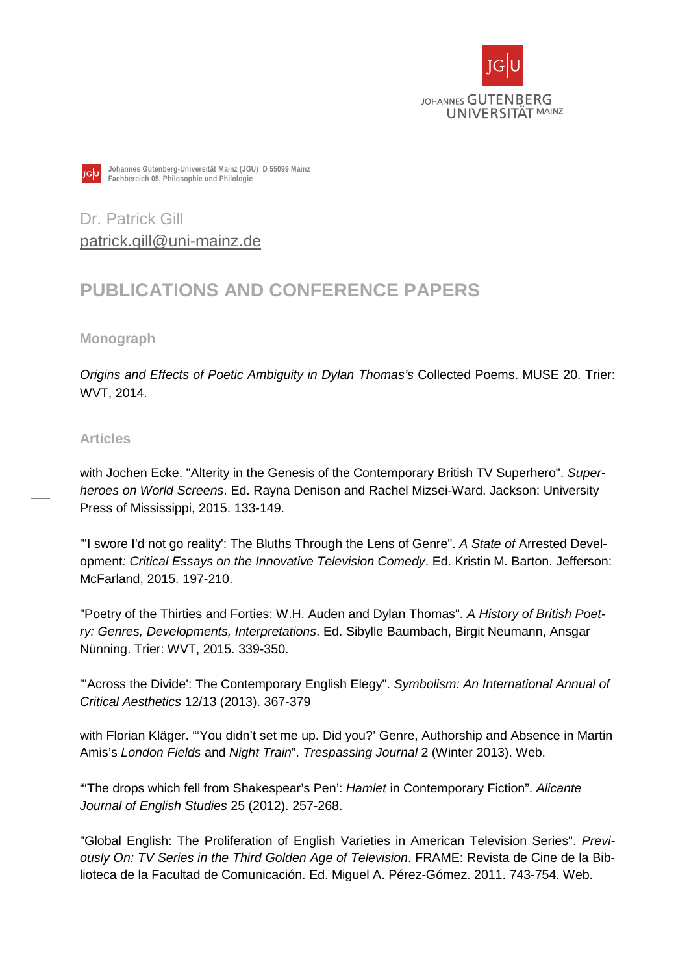



**Johannes Gutenberg-Universität Mainz (JGU) D 55099 Mainz Fachbereich 05, Philosophie und Philologie**

Dr. Patrick Gill [patrick.gill@uni-mainz.de](mailto:patrick.gill@uni-mainz.de)

# **PUBLICATIONS AND CONFERENCE PAPERS**

**Monograph**

*Origins and Effects of Poetic Ambiguity in Dylan Thomas's* Collected Poems. MUSE 20. Trier: WVT, 2014.

# **Articles**

with Jochen Ecke. "Alterity in the Genesis of the Contemporary British TV Superhero". *Superheroes on World Screens*. Ed. Rayna Denison and Rachel Mizsei-Ward. Jackson: University Press of Mississippi, 2015. 133-149.

"'I swore I'd not go reality': The Bluths Through the Lens of Genre". *A State of* Arrested Development*: Critical Essays on the Innovative Television Comedy*. Ed. Kristin M. Barton. Jefferson: McFarland, 2015. 197-210.

"Poetry of the Thirties and Forties: W.H. Auden and Dylan Thomas". *A History of British Poetry: Genres, Developments, Interpretations*. Ed. Sibylle Baumbach, Birgit Neumann, Ansgar Nünning. Trier: WVT, 2015. 339-350.

"'Across the Divide': The Contemporary English Elegy". *Symbolism: An International Annual of Critical Aesthetics* 12/13 (2013). 367-379

with Florian Kläger. "'You didn't set me up. Did you?' Genre, Authorship and Absence in Martin Amis's *London Fields* and *Night Train*". *Trespassing Journal* 2 (Winter 2013). Web.

"'The drops which fell from Shakespear's Pen': *Hamlet* in Contemporary Fiction". *Alicante Journal of English Studies* 25 (2012). 257-268.

"Global English: The Proliferation of English Varieties in American Television Series". *Previously On: TV Series in the Third Golden Age of Television*. FRAME: Revista de Cine de la Biblioteca de la Facultad de Comunicación. Ed. Miguel A. Pérez-Gómez. 2011. 743-754. Web.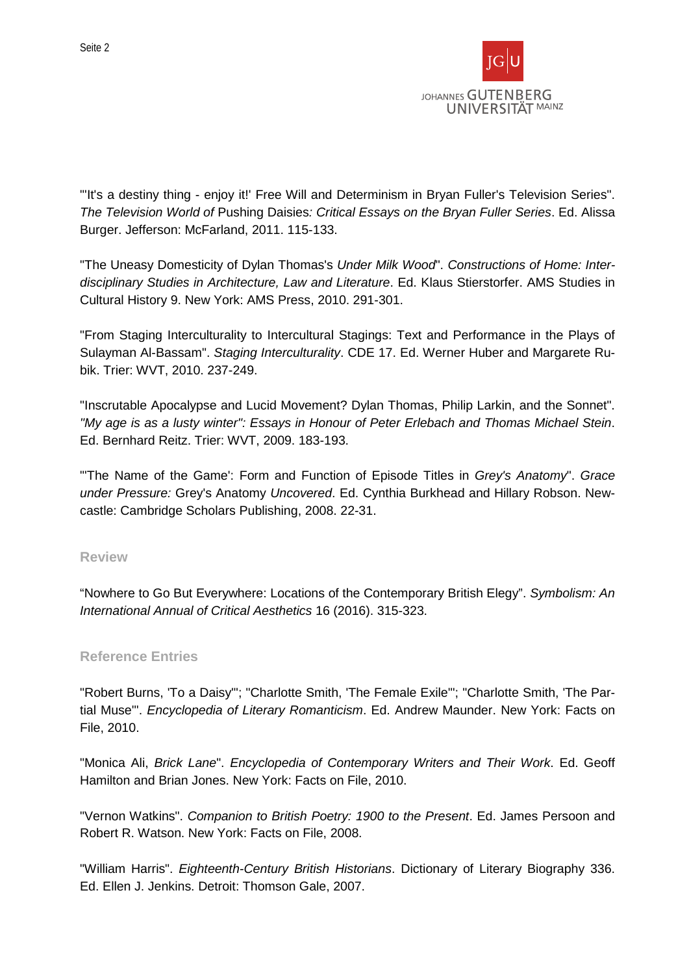

"'It's a destiny thing - enjoy it!' Free Will and Determinism in Bryan Fuller's Television Series". *The Television World of* Pushing Daisies*: Critical Essays on the Bryan Fuller Series*. Ed. Alissa Burger. Jefferson: McFarland, 2011. 115-133.

"The Uneasy Domesticity of Dylan Thomas's *Under Milk Wood*". *Constructions of Home: Interdisciplinary Studies in Architecture, Law and Literature*. Ed. Klaus Stierstorfer. AMS Studies in Cultural History 9. New York: AMS Press, 2010. 291-301.

"From Staging Interculturality to Intercultural Stagings: Text and Performance in the Plays of Sulayman Al-Bassam". *Staging Interculturality*. CDE 17. Ed. Werner Huber and Margarete Rubik. Trier: WVT, 2010. 237-249.

"Inscrutable Apocalypse and Lucid Movement? Dylan Thomas, Philip Larkin, and the Sonnet". *"My age is as a lusty winter": Essays in Honour of Peter Erlebach and Thomas Michael Stein*. Ed. Bernhard Reitz. Trier: WVT, 2009. 183-193.

"'The Name of the Game': Form and Function of Episode Titles in *Grey's Anatomy*". *Grace under Pressure:* Grey's Anatomy *Uncovered*. Ed. Cynthia Burkhead and Hillary Robson. Newcastle: Cambridge Scholars Publishing, 2008. 22-31.

### **Review**

"Nowhere to Go But Everywhere: Locations of the Contemporary British Elegy". *Symbolism: An International Annual of Critical Aesthetics* 16 (2016). 315-323.

## **Reference Entries**

"Robert Burns, 'To a Daisy'"; "Charlotte Smith, 'The Female Exile'"; "Charlotte Smith, 'The Partial Muse'". *Encyclopedia of Literary Romanticism*. Ed. Andrew Maunder. New York: Facts on File, 2010.

"Monica Ali, *Brick Lane*". *Encyclopedia of Contemporary Writers and Their Work*. Ed. Geoff Hamilton and Brian Jones. New York: Facts on File, 2010.

"Vernon Watkins". *Companion to British Poetry: 1900 to the Present*. Ed. James Persoon and Robert R. Watson. New York: Facts on File, 2008.

"William Harris". *Eighteenth-Century British Historians*. Dictionary of Literary Biography 336. Ed. Ellen J. Jenkins. Detroit: Thomson Gale, 2007.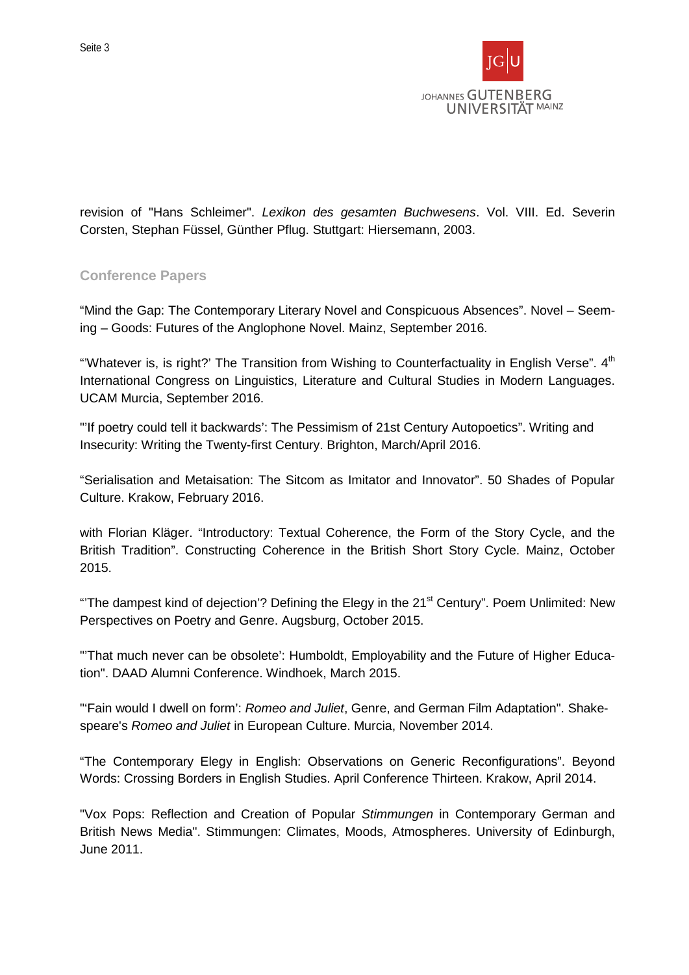revision of "Hans Schleimer". *Lexikon des gesamten Buchwesens*. Vol. VIII. Ed. Severin Corsten, Stephan Füssel, Günther Pflug. Stuttgart: Hiersemann, 2003.

# **Conference Papers**

"Mind the Gap: The Contemporary Literary Novel and Conspicuous Absences". Novel – Seeming – Goods: Futures of the Anglophone Novel. Mainz, September 2016.

"Whatever is, is right?' The Transition from Wishing to Counterfactuality in English Verse".  $4<sup>th</sup>$ International Congress on Linguistics, Literature and Cultural Studies in Modern Languages. UCAM Murcia, September 2016.

"'If poetry could tell it backwards': The Pessimism of 21st Century Autopoetics". Writing and Insecurity: Writing the Twenty-first Century. Brighton, March/April 2016.

"Serialisation and Metaisation: The Sitcom as Imitator and Innovator". 50 Shades of Popular Culture. Krakow, February 2016.

with Florian Kläger. "Introductory: Textual Coherence, the Form of the Story Cycle, and the British Tradition". Constructing Coherence in the British Short Story Cycle. Mainz, October 2015.

"The dampest kind of dejection'? Defining the Elegy in the 21<sup>st</sup> Century". Poem Unlimited: New Perspectives on Poetry and Genre. Augsburg, October 2015.

"'That much never can be obsolete': Humboldt, Employability and the Future of Higher Education". DAAD Alumni Conference. Windhoek, March 2015.

"'Fain would I dwell on form': *Romeo and Juliet*, Genre, and German Film Adaptation". Shakespeare's *Romeo and Juliet* in European Culture. Murcia, November 2014.

"The Contemporary Elegy in English: Observations on Generic Reconfigurations". Beyond Words: Crossing Borders in English Studies. April Conference Thirteen. Krakow, April 2014.

"Vox Pops: Reflection and Creation of Popular *Stimmungen* in Contemporary German and British News Media". Stimmungen: Climates, Moods, Atmospheres. University of Edinburgh, June 2011.